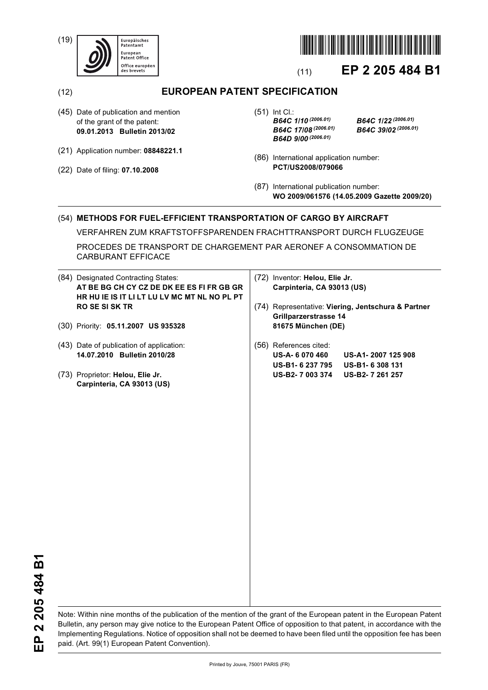(19)





# (11) **EP 2 205 484 B1**

## (12) **EUROPEAN PATENT SPECIFICATION**

- (45) Date of publication and mention of the grant of the patent: **09.01.2013 Bulletin 2013/02**
- (21) Application number: **08848221.1**
- (22) Date of filing: **07.10.2008**

(51) Int Cl.: *B64C 1/10 (2006.01) B64C 1/22 (2006.01) B64C 17/08 (2006.01) B64C 39/02 (2006.01) B64D 9/00 (2006.01)*

- (86) International application number: **PCT/US2008/079066**
- (87) International publication number: **WO 2009/061576 (14.05.2009 Gazette 2009/20)**

### (54) **METHODS FOR FUEL-EFFICIENT TRANSPORTATION OF CARGO BY AIRCRAFT**

VERFAHREN ZUM KRAFTSTOFFSPARENDEN FRACHTTRANSPORT DURCH FLUGZEUGE

PROCEDES DE TRANSPORT DE CHARGEMENT PAR AERONEF A CONSOMMATION DE CARBURANT EFFICACE

|  | (84) Designated Contracting States:<br>AT BE BG CH CY CZ DE DK EE ES FI FR GB GR<br>HR HU IE IS IT LI LT LU LV MC MT NL NO PL PT<br><b>RO SE SI SK TR</b> | (72) Inventor: Helou, Elie Jr.<br>Carpinteria, CA 93013 (US) |                                                                                                          |                                                        |
|--|-----------------------------------------------------------------------------------------------------------------------------------------------------------|--------------------------------------------------------------|----------------------------------------------------------------------------------------------------------|--------------------------------------------------------|
|  |                                                                                                                                                           |                                                              | (74) Representative: Viering, Jentschura & Partner<br><b>Grillparzerstrasse 14</b><br>81675 München (DE) |                                                        |
|  | (30) Priority: 05.11.2007 US 935328                                                                                                                       |                                                              |                                                                                                          |                                                        |
|  | (43) Date of publication of application:<br>14.07.2010 Bulletin 2010/28                                                                                   |                                                              | (56) References cited:<br><b>US-A-6070460</b><br>US-B1- 6 237 795                                        | US-A1-2007 125 908<br>US-B1-6308131<br>US-B2-7 261 257 |
|  | (73) Proprietor: Helou, Elie Jr.<br>Carpinteria, CA 93013 (US)                                                                                            |                                                              | US-B2-7 003 374                                                                                          |                                                        |
|  |                                                                                                                                                           |                                                              |                                                                                                          |                                                        |
|  |                                                                                                                                                           |                                                              |                                                                                                          |                                                        |
|  |                                                                                                                                                           |                                                              |                                                                                                          |                                                        |
|  |                                                                                                                                                           |                                                              |                                                                                                          |                                                        |
|  |                                                                                                                                                           |                                                              |                                                                                                          |                                                        |
|  |                                                                                                                                                           |                                                              |                                                                                                          |                                                        |
|  |                                                                                                                                                           |                                                              |                                                                                                          |                                                        |

EP 2 205 484 B1 **EP 2 205 484 B1**

Note: Within nine months of the publication of the mention of the grant of the European patent in the European Patent Bulletin, any person may give notice to the European Patent Office of opposition to that patent, in accordance with the Implementing Regulations. Notice of opposition shall not be deemed to have been filed until the opposition fee has been paid. (Art. 99(1) European Patent Convention).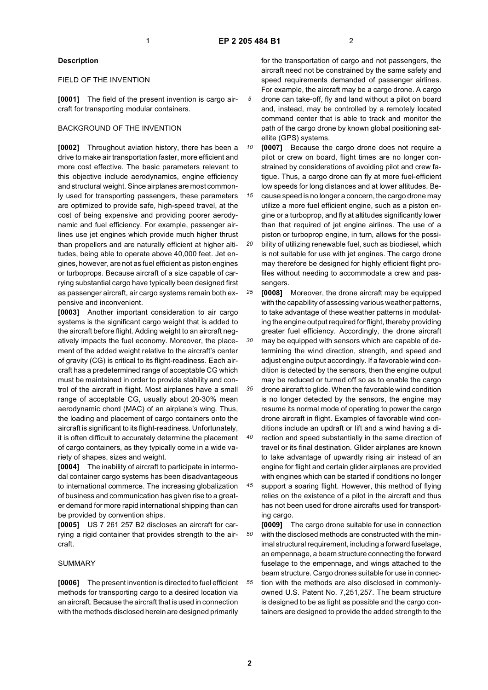#### **Description**

#### FIELD OF THE INVENTION

**[0001]** The field of the present invention is cargo aircraft for transporting modular containers.

#### BACKGROUND OF THE INVENTION

**[0002]** Throughout aviation history, there has been a drive to make air transportation faster, more efficient and more cost effective. The basic parameters relevant to this objective include aerodynamics, engine efficiency and structural weight. Since airplanes are most commonly used for transporting passengers, these parameters are optimized to provide safe, high-speed travel, at the cost of being expensive and providing poorer aerodynamic and fuel efficiency. For example, passenger airlines use jet engines which provide much higher thrust than propellers and are naturally efficient at higher altitudes, being able to operate above 40,000 feet. Jet engines, however, are not as fuel efficient as piston engines or turboprops. Because aircraft of a size capable of carrying substantial cargo have typically been designed first as passenger aircraft, air cargo systems remain both expensive and inconvenient.

**[0003]** Another important consideration to air cargo systems is the significant cargo weight that is added to the aircraft before flight. Adding weight to an aircraft negatively impacts the fuel economy. Moreover, the placement of the added weight relative to the aircraft's center of gravity (CG) is critical to its flight-readiness. Each aircraft has a predetermined range of acceptable CG which must be maintained in order to provide stability and control of the aircraft in flight. Most airplanes have a small range of acceptable CG, usually about 20-30% mean aerodynamic chord (MAC) of an airplane's wing. Thus, the loading and placement of cargo containers onto the aircraft is significant to its flight-readiness. Unfortunately, it is often difficult to accurately determine the placement of cargo containers, as they typically come in a wide variety of shapes, sizes and weight.

**[0004]** The inability of aircraft to participate in intermodal container cargo systems has been disadvantageous to international commerce. The increasing globalization of business and communication has given rise to a greater demand for more rapid international shipping than can be provided by convention ships.

**[0005]** US 7 261 257 B2 discloses an aircraft for carrying a rigid container that provides strength to the aircraft.

#### SUMMARY

**[0006]** The present invention is directed to fuel efficient methods for transporting cargo to a desired location via an aircraft. Because the aircraft that is used in connection with the methods disclosed herein are designed primarily

for the transportation of cargo and not passengers, the aircraft need not be constrained by the same safety and speed requirements demanded of passenger airlines. For example, the aircraft may be a cargo drone. A cargo drone can take-off, fly and land without a pilot on board and, instead, may be controlled by a remotely located command center that is able to track and monitor the path of the cargo drone by known global positioning satellite (GPS) systems.

*10* **[0007]** Because the cargo drone does not require a pilot or crew on board, flight times are no longer constrained by considerations of avoiding pilot and crew fatigue. Thus, a cargo drone can fly at more fuel-efficient low speeds for long distances and at lower altitudes. Be-

*15 20* cause speed is no longer a concern, the cargo drone may utilize a more fuel efficient engine, such as a piston engine or a turboprop, and fly at altitudes significantly lower than that required of jet engine airlines. The use of a piston or turboprop engine, in turn, allows for the possibility of utilizing renewable fuel, such as biodiesel, which is not suitable for use with jet engines. The cargo drone may therefore be designed for highly efficient flight profiles without needing to accommodate a crew and pas-

*25* sengers. **[0008]** Moreover, the drone aircraft may be equipped with the capability of assessing various weather patterns, to take advantage of these weather patterns in modulating the engine output required for flight, thereby providing greater fuel efficiency. Accordingly, the drone aircraft

*30* may be equipped with sensors which are capable of determining the wind direction, strength, and speed and adjust engine output accordingly. If a favorable wind condition is detected by the sensors, then the engine output may be reduced or turned off so as to enable the cargo

*35 40* drone aircraft to glide. When the favorable wind condition is no longer detected by the sensors, the engine may resume its normal mode of operating to power the cargo drone aircraft in flight. Examples of favorable wind conditions include an updraft or lift and a wind having a direction and speed substantially in the same direction of

travel or its final destination. Glider airplanes are known to take advantage of upwardly rising air instead of an engine for flight and certain glider airplanes are provided with engines which can be started if conditions no longer

*45* support a soaring flight. However, this method of flying relies on the existence of a pilot in the aircraft and thus has not been used for drone aircrafts used for transporting cargo.

*50 55* **[0009]** The cargo drone suitable for use in connection with the disclosed methods are constructed with the minimal structural requirement, including a forward fuselage, an empennage, a beam structure connecting the forward fuselage to the empennage, and wings attached to the beam structure. Cargo drones suitable for use in connection with the methods are also disclosed in commonlyowned U.S. Patent No. 7,251,257. The beam structure is designed to be as light as possible and the cargo containers are designed to provide the added strength to the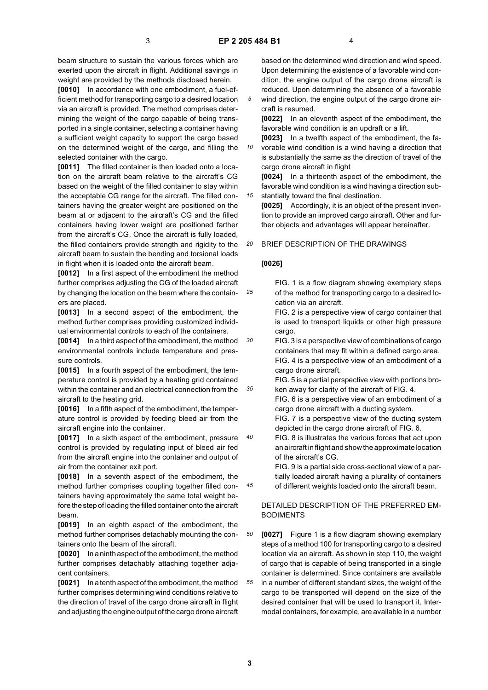*10*

*15*

*25*

*30*

*40*

*45*

beam structure to sustain the various forces which are exerted upon the aircraft in flight. Additional savings in weight are provided by the methods disclosed herein.

**[0010]** In accordance with one embodiment, a fuel-efficient method for transporting cargo to a desired location via an aircraft is provided. The method comprises determining the weight of the cargo capable of being transported in a single container, selecting a container having a sufficient weight capacity to support the cargo based on the determined weight of the cargo, and filling the selected container with the cargo.

**[0011]** The filled container is then loaded onto a location on the aircraft beam relative to the aircraft's CG based on the weight of the filled container to stay within the acceptable CG range for the aircraft. The filled containers having the greater weight are positioned on the beam at or adjacent to the aircraft's CG and the filled containers having lower weight are positioned farther from the aircraft's CG. Once the aircraft is fully loaded, the filled containers provide strength and rigidity to the aircraft beam to sustain the bending and torsional loads in flight when it is loaded onto the aircraft beam.

**[0012]** In a first aspect of the embodiment the method further comprises adjusting the CG of the loaded aircraft by changing the location on the beam where the containers are placed.

**[0013]** In a second aspect of the embodiment, the method further comprises providing customized individual environmental controls to each of the containers.

**[0014]** In a third aspect of the embodiment, the method environmental controls include temperature and pressure controls.

*35* **[0015]** In a fourth aspect of the embodiment, the temperature control is provided by a heating grid contained within the container and an electrical connection from the aircraft to the heating grid.

**[0016]** In a fifth aspect of the embodiment, the temperature control is provided by feeding bleed air from the aircraft engine into the container.

**[0017]** In a sixth aspect of the embodiment, pressure control is provided by regulating input of bleed air fed from the aircraft engine into the container and output of air from the container exit port.

**[0018]** In a seventh aspect of the embodiment, the method further comprises coupling together filled containers having approximately the same total weight before the step of loading the filled container onto the aircraft beam.

**[0019]** In an eighth aspect of the embodiment, the method further comprises detachably mounting the containers onto the beam of the aircraft.

**[0020]** In a ninth aspect of the embodiment, the method further comprises detachably attaching together adjacent containers.

**[0021]** In a tenth aspect of the embodiment, the method further comprises determining wind conditions relative to the direction of travel of the cargo drone aircraft in flight and adjusting the engine output of the cargo drone aircraft

based on the determined wind direction and wind speed. Upon determining the existence of a favorable wind condition, the engine output of the cargo drone aircraft is reduced. Upon determining the absence of a favorable wind direction, the engine output of the cargo drone air-

craft is resumed. **[0022]** In an eleventh aspect of the embodiment, the favorable wind condition is an updraft or a lift.

**[0023]** In a twelfth aspect of the embodiment, the favorable wind condition is a wind having a direction that is substantially the same as the direction of travel of the

cargo drone aircraft in flight **[0024]** In a thirteenth aspect of the embodiment, the favorable wind condition is a wind having a direction substantially toward the final destination.

**[0025]** Accordingly, it is an object of the present invention to provide an improved cargo aircraft. Other and further objects and advantages will appear hereinafter.

#### *20* BRIEF DESCRIPTION OF THE DRAWINGS

#### **[0026]**

FIG. 1 is a flow diagram showing exemplary steps of the method for transporting cargo to a desired location via an aircraft.

FIG. 2 is a perspective view of cargo container that is used to transport liquids or other high pressure cargo.

FIG. 3 is a perspective view of combinations of cargo containers that may fit within a defined cargo area. FIG. 4 is a perspective view of an embodiment of a cargo drone aircraft.

FIG. 5 is a partial perspective view with portions broken away for clarity of the aircraft of FIG. 4.

FIG. 6 is a perspective view of an embodiment of a cargo drone aircraft with a ducting system.

FIG. 7 is a perspective view of the ducting system depicted in the cargo drone aircraft of FIG. 6.

FIG. 8 is illustrates the various forces that act upon an aircraft in flight and show the approximate location of the aircraft's CG.

FIG. 9 is a partial side cross-sectional view of a partially loaded aircraft having a plurality of containers of different weights loaded onto the aircraft beam.

### DETAILED DESCRIPTION OF THE PREFERRED EM-BODIMENTS

*50 55* **[0027]** Figure 1 is a flow diagram showing exemplary steps of a method 100 for transporting cargo to a desired location via an aircraft. As shown in step 110, the weight of cargo that is capable of being transported in a single container is determined. Since containers are available in a number of different standard sizes, the weight of the cargo to be transported will depend on the size of the desired container that will be used to transport it. Intermodal containers, for example, are available in a number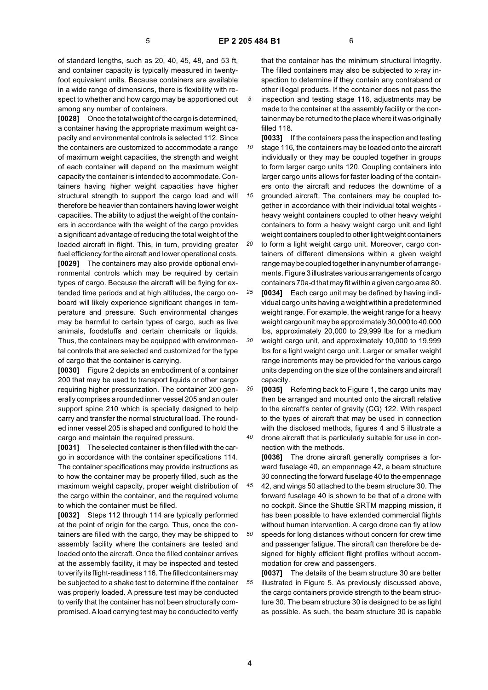of standard lengths, such as 20, 40, 45, 48, and 53 ft, and container capacity is typically measured in twentyfoot equivalent units. Because containers are available in a wide range of dimensions, there is flexibility with respect to whether and how cargo may be apportioned out among any number of containers.

**[0028]** Once the total weight of the cargo is determined, a container having the appropriate maximum weight capacity and environmental controls is selected 112. Since the containers are customized to accommodate a range of maximum weight capacities, the strength and weight of each container will depend on the maximum weight capacity the container is intended to accommodate. Containers having higher weight capacities have higher structural strength to support the cargo load and will therefore be heavier than containers having lower weight capacities. The ability to adjust the weight of the containers in accordance with the weight of the cargo provides a significant advantage of reducing the total weight of the loaded aircraft in flight. This, in turn, providing greater fuel efficiency for the aircraft and lower operational costs. **[0029]** The containers may also provide optional environmental controls which may be required by certain types of cargo. Because the aircraft will be flying for extended time periods and at high altitudes, the cargo onboard will likely experience significant changes in temperature and pressure. Such environmental changes may be harmful to certain types of cargo, such as live animals, foodstuffs and certain chemicals or liquids. Thus, the containers may be equipped with environmental controls that are selected and customized for the type of cargo that the container is carrying.

**[0030]** Figure 2 depicts an embodiment of a container 200 that may be used to transport liquids or other cargo requiring higher pressurization. The container 200 generally comprises a rounded inner vessel 205 and an outer support spine 210 which is specially designed to help carry and transfer the normal structural load. The rounded inner vessel 205 is shaped and configured to hold the cargo and maintain the required pressure.

**[0031]** The selected container is then filled with the cargo in accordance with the container specifications 114. The container specifications may provide instructions as to how the container may be properly filled, such as the maximum weight capacity, proper weight distribution of the cargo within the container, and the required volume to which the container must be filled.

**[0032]** Steps 112 through 114 are typically performed at the point of origin for the cargo. Thus, once the containers are filled with the cargo, they may be shipped to assembly facility where the containers are tested and loaded onto the aircraft. Once the filled container arrives at the assembly facility, it may be inspected and tested to verify its flight-readiness 116. The filled containers may be subjected to a shake test to determine if the container was properly loaded. A pressure test may be conducted to verify that the container has not been structurally compromised. A load carrying test may be conducted to verify

that the container has the minimum structural integrity. The filled containers may also be subjected to x-ray inspection to determine if they contain any contraband or other illegal products. If the container does not pass the inspection and testing stage 116, adjustments may be made to the container at the assembly facility or the container may be returned to the place where it was originally filled 118.

*10* **[0033]** If the containers pass the inspection and testing stage 116, the containers may be loaded onto the aircraft individually or they may be coupled together in groups to form larger cargo units 120. Coupling containers into larger cargo units allows for faster loading of the containers onto the aircraft and reduces the downtime of a

*15* grounded aircraft. The containers may be coupled together in accordance with their individual total weights heavy weight containers coupled to other heavy weight containers to form a heavy weight cargo unit and light weight containers coupled to other light weight containers

*20* to form a light weight cargo unit. Moreover, cargo containers of different dimensions within a given weight range may be coupled together in any number of arrangements. Figure 3 illustrates various arrangements of cargo containers 70a-d that may fit within a given cargo area 80.

*25* **[0034]** Each cargo unit may be defined by having individual cargo units having a weight within a predetermined weight range. For example, the weight range for a heavy weight cargo unit may be approximately 30,000 to 40,000 lbs, approximately 20,000 to 29,999 lbs for a medium

*30* weight cargo unit, and approximately 10,000 to 19,999 lbs for a light weight cargo unit. Larger or smaller weight range increments may be provided for the various cargo units depending on the size of the containers and aircraft capacity.

*35 40* **[0035]** Referring back to Figure 1, the cargo units may then be arranged and mounted onto the aircraft relative to the aircraft's center of gravity (CG) 122. With respect to the types of aircraft that may be used in connection with the disclosed methods, figures 4 and 5 illustrate a drone aircraft that is particularly suitable for use in con-

nection with the methods.

**[0036]** The drone aircraft generally comprises a forward fuselage 40, an empennage 42, a beam structure 30 connecting the forward fuselage 40 to the empennage

*45* 42, and wings 50 attached to the beam structure 30. The forward fuselage 40 is shown to be that of a drone with no cockpit. Since the Shuttle SRTM mapping mission, it has been possible to have extended commercial flights without human intervention. A cargo drone can fly at low

*50* speeds for long distances without concern for crew time and passenger fatigue. The aircraft can therefore be designed for highly efficient flight profiles without accommodation for crew and passengers.

*55* **[0037]** The details of the beam structure 30 are better illustrated in Figure 5. As previously discussed above, the cargo containers provide strength to the beam structure 30. The beam structure 30 is designed to be as light as possible. As such, the beam structure 30 is capable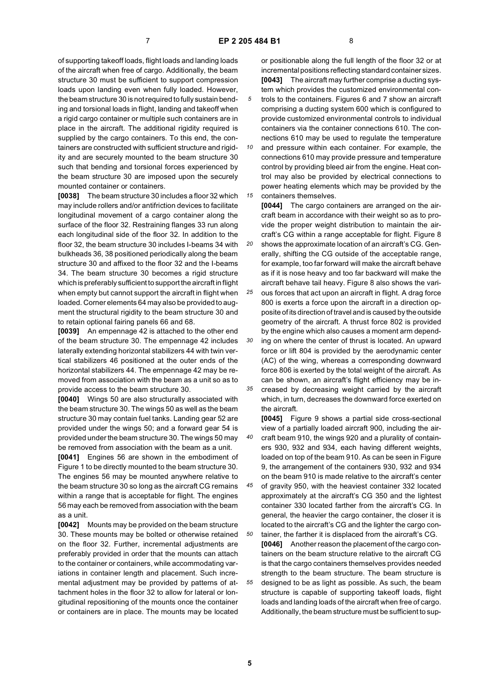of supporting takeoff loads, flight loads and landing loads of the aircraft when free of cargo. Additionally, the beam structure 30 must be sufficient to support compression loads upon landing even when fully loaded. However, the beam structure 30 is not required to fully sustain bending and torsional loads in flight, landing and takeoff when a rigid cargo container or multiple such containers are in place in the aircraft. The additional rigidity required is supplied by the cargo containers. To this end, the containers are constructed with sufficient structure and rigidity and are securely mounted to the beam structure 30 such that bending and torsional forces experienced by the beam structure 30 are imposed upon the securely mounted container or containers.

**[0038]** The beam structure 30 includes a floor 32 which may include rollers and/or antifriction devices to facilitate longitudinal movement of a cargo container along the surface of the floor 32. Restraining flanges 33 run along each longitudinal side of the floor 32. In addition to the floor 32, the beam structure 30 includes I-beams 34 with bulkheads 36, 38 positioned periodically along the beam structure 30 and affixed to the floor 32 and the I-beams 34. The beam structure 30 becomes a rigid structure which is preferably sufficient to support the aircraft in flight when empty but cannot support the aircraft in flight when loaded. Corner elements 64 may also be provided to augment the structural rigidity to the beam structure 30 and to retain optional fairing panels 66 and 68.

**[0039]** An empennage 42 is attached to the other end of the beam structure 30. The empennage 42 includes laterally extending horizontal stabilizers 44 with twin vertical stabilizers 46 positioned at the outer ends of the horizontal stabilizers 44. The empennage 42 may be removed from association with the beam as a unit so as to provide access to the beam structure 30.

**[0040]** Wings 50 are also structurally associated with the beam structure 30. The wings 50 as well as the beam structure 30 may contain fuel tanks. Landing gear 52 are provided under the wings 50; and a forward gear 54 is provided under the beam structure 30. The wings 50 may be removed from association with the beam as a unit.

**[0041]** Engines 56 are shown in the embodiment of Figure 1 to be directly mounted to the beam structure 30. The engines 56 may be mounted anywhere relative to the beam structure 30 so long as the aircraft CG remains within a range that is acceptable for flight. The engines 56 may each be removed from association with the beam as a unit.

**[0042]** Mounts may be provided on the beam structure 30. These mounts may be bolted or otherwise retained on the floor 32. Further, incremental adjustments are preferably provided in order that the mounts can attach to the container or containers, while accommodating variations in container length and placement. Such incremental adjustment may be provided by patterns of attachment holes in the floor 32 to allow for lateral or longitudinal repositioning of the mounts once the container or containers are in place. The mounts may be located

or positionable along the full length of the floor 32 or at incremental positions reflecting standard container sizes. **[0043]** The aircraft may further comprise a ducting system which provides the customized environmental controls to the containers. Figures 6 and 7 show an aircraft comprising a ducting system 600 which is configured to provide customized environmental controls to individual containers via the container connections 610. The connections 610 may be used to regulate the temperature

*10 15* and pressure within each container. For example, the connections 610 may provide pressure and temperature control by providing bleed air from the engine. Heat control may also be provided by electrical connections to power heating elements which may be provided by the containers themselves.

**[0044]** The cargo containers are arranged on the aircraft beam in accordance with their weight so as to provide the proper weight distribution to maintain the aircraft's CG within a range acceptable for flight. Figure 8

*20* shows the approximate location of an aircraft's CG. Generally, shifting the CG outside of the acceptable range, for example, too far forward will make the aircraft behave as if it is nose heavy and too far backward will make the aircraft behave tail heavy. Figure 8 also shows the vari-

*25* ous forces that act upon an aircraft in flight. A drag force 800 is exerts a force upon the aircraft in a direction opposite of its direction of travel and is caused by the outside geometry of the aircraft. A thrust force 802 is provided by the engine which also causes a moment arm depend-

*30 35* ing on where the center of thrust is located. An upward force or lift 804 is provided by the aerodynamic center (AC) of the wing, whereas a corresponding downward force 806 is exerted by the total weight of the aircraft. As can be shown, an aircraft's flight efficiency may be increased by decreasing weight carried by the aircraft

which, in turn, decreases the downward force exerted on the aircraft.

**[0045]** Figure 9 shows a partial side cross-sectional view of a partially loaded aircraft 900, including the aircraft beam 910, the wings 920 and a plurality of containers 930, 932 and 934, each having different weights, loaded on top of the beam 910. As can be seen in Figure 9, the arrangement of the containers 930, 932 and 934 on the beam 910 is made relative to the aircraft's center

*45 50* of gravity 950, with the heaviest container 332 located approximately at the aircraft's CG 350 and the lightest container 330 located farther from the aircraft's CG. In general, the heavier the cargo container, the closer it is located to the aircraft's CG and the lighter the cargo container, the farther it is displaced from the aircraft's CG.

*55* **[0046]** Another reason the placement of the cargo containers on the beam structure relative to the aircraft CG is that the cargo containers themselves provides needed strength to the beam structure. The beam structure is designed to be as light as possible. As such, the beam structure is capable of supporting takeoff loads, flight loads and landing loads of the aircraft when free of cargo. Additionally, the beam structure must be sufficient to sup-

*40*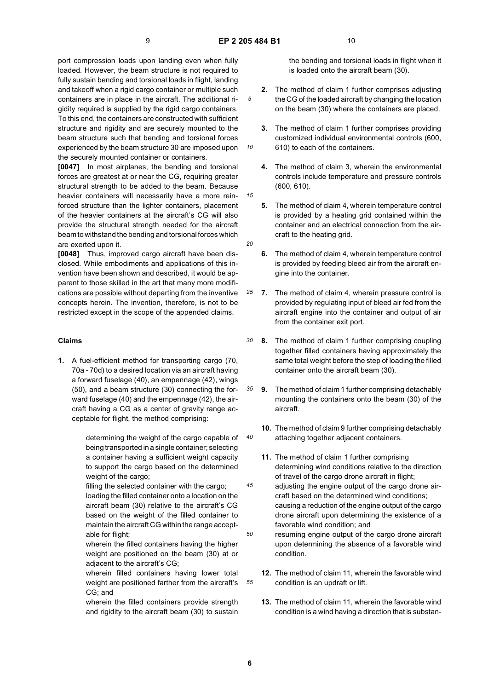*10*

*15*

port compression loads upon landing even when fully loaded. However, the beam structure is not required to fully sustain bending and torsional loads in flight, landing and takeoff when a rigid cargo container or multiple such containers are in place in the aircraft. The additional rigidity required is supplied by the rigid cargo containers. To this end, the containers are constructed with sufficient structure and rigidity and are securely mounted to the beam structure such that bending and torsional forces experienced by the beam structure 30 are imposed upon the securely mounted container or containers.

**[0047]** In most airplanes, the bending and torsional forces are greatest at or near the CG, requiring greater structural strength to be added to the beam. Because heavier containers will necessarily have a more reinforced structure than the lighter containers, placement of the heavier containers at the aircraft's CG will also provide the structural strength needed for the aircraft beam to withstand the bending and torsional forces which are exerted upon it.

**[0048]** Thus, improved cargo aircraft have been disclosed. While embodiments and applications of this invention have been shown and described, it would be apparent to those skilled in the art that many more modifications are possible without departing from the inventive concepts herein. The invention, therefore, is not to be restricted except in the scope of the appended claims.

#### **Claims**

**1.** A fuel-efficient method for transporting cargo (70, 70a - 70d) to a desired location via an aircraft having a forward fuselage (40), an empennage (42), wings (50), and a beam structure (30) connecting the forward fuselage (40) and the empennage (42), the aircraft having a CG as a center of gravity range acceptable for flight, the method comprising:

> determining the weight of the cargo capable of being transported in a single container; selecting a container having a sufficient weight capacity to support the cargo based on the determined weight of the cargo;

> filling the selected container with the cargo; loading the filled container onto a location on the aircraft beam (30) relative to the aircraft's CG based on the weight of the filled container to maintain the aircraft CG within the range acceptable for flight;

> wherein the filled containers having the higher weight are positioned on the beam (30) at or adjacent to the aircraft's CG;

wherein filled containers having lower total weight are positioned farther from the aircraft's CG; and

wherein the filled containers provide strength and rigidity to the aircraft beam (30) to sustain the bending and torsional loads in flight when it is loaded onto the aircraft beam (30).

- **2.** The method of claim 1 further comprises adjusting the CG of the loaded aircraft by changing the location on the beam (30) where the containers are placed.
- **3.** The method of claim 1 further comprises providing customized individual environmental controls (600, 610) to each of the containers.
- **4.** The method of claim 3, wherein the environmental controls include temperature and pressure controls (600, 610).
- **5.** The method of claim 4, wherein temperature control is provided by a heating grid contained within the container and an electrical connection from the aircraft to the heating grid.

*40*

*45*

*50*

*55*

- **6.** The method of claim 4, wherein temperature control is provided by feeding bleed air from the aircraft engine into the container.
- *25* **7.** The method of claim 4, wherein pressure control is provided by regulating input of bleed air fed from the aircraft engine into the container and output of air from the container exit port.
- *30* **8.** The method of claim 1 further comprising coupling together filled containers having approximately the same total weight before the step of loading the filled container onto the aircraft beam (30).
- *35* **9.** The method of claim 1 further comprising detachably mounting the containers onto the beam (30) of the aircraft.
	- **10.** The method of claim 9 further comprising detachably attaching together adjacent containers.
	- **11.** The method of claim 1 further comprising determining wind conditions relative to the direction of travel of the cargo drone aircraft in flight;
	- adjusting the engine output of the cargo drone aircraft based on the determined wind conditions; causing a reduction of the engine output of the cargo drone aircraft upon determining the existence of a favorable wind condition; and
	- resuming engine output of the cargo drone aircraft upon determining the absence of a favorable wind condition.
	- **12.** The method of claim 11, wherein the favorable wind condition is an updraft or lift.
	- **13.** The method of claim 11, wherein the favorable wind condition is a wind having a direction that is substan-

*<sup>20</sup>*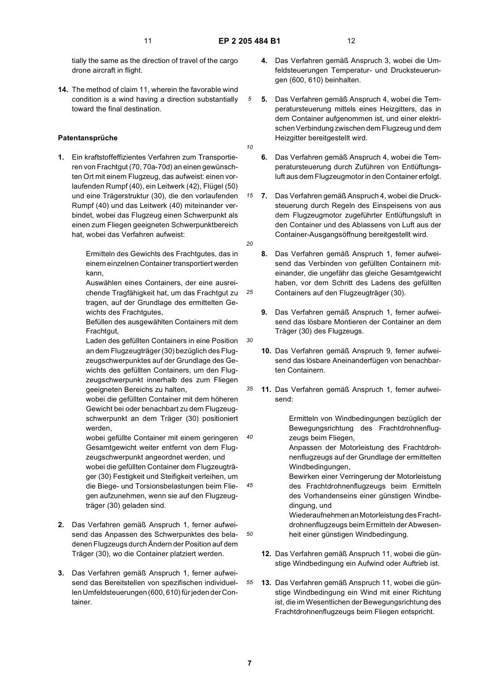tially the same as the direction of travel of the cargo drone aircraft in flight.

**14.** The method of claim 11, wherein the favorable wind condition is a wind having a direction substantially toward the final destination.

#### **Patentansprüche**

**1.** Ein kraftstoffeffizientes Verfahren zum Transportieren von Frachtgut (70, 70a-70d) an einen gewünschten Ort mit einem Flugzeug, das aufweist: einen vorlaufenden Rumpf (40), ein Leitwerk (42), Flügel (50) und eine Trägerstruktur (30), die den vorlaufenden Rumpf (40) und das Leitwerk (40) miteinander verbindet, wobei das Flugzeug einen Schwerpunkt als einen zum Fliegen geeigneten Schwerpunktbereich hat, wobei das Verfahren aufweist:

> Ermitteln des Gewichts des Frachtgutes, das in einem einzelnen Container transportiert werden kann,

Auswählen eines Containers, der eine ausreichende Tragfähigkeit hat, um das Frachtgut zu tragen, auf der Grundlage des ermittelten Gewichts des Frachtgutes,

Befüllen des ausgewählten Containers mit dem Frachtgut,

Laden des gefüllten Containers in eine Position an dem Flugzeugträger (30) bezüglich des Flugzeugschwerpunktes auf der Grundlage des Gewichts des gefüllten Containers, um den Flugzeugschwerpunkt innerhalb des zum Fliegen geeigneten Bereichs zu halten,

wobei die gefüllten Container mit dem höheren Gewicht bei oder benachbart zu dem Flugzeugschwerpunkt an dem Träger (30) positioniert werden,

wobei gefüllte Container mit einem geringeren Gesamtgewicht weiter entfernt von dem Flugzeugschwerpunkt angeordnet werden, und wobei die gefüllten Container dem Flugzeugträger (30) Festigkeit und Steifigkeit verleihen, um die Biege- und Torsionsbelastungen beim Fliegen aufzunehmen, wenn sie auf den Flugzeugträger (30) geladen sind.

- **2.** Das Verfahren gemäß Anspruch 1, ferner aufweisend das Anpassen des Schwerpunktes des beladenen Flugzeugs durch Ändern der Position auf dem Träger (30), wo die Container platziert werden.
- **3.** Das Verfahren gemäß Anspruch 1, ferner aufweisend das Bereitstellen von spezifischen individuellen Umfeldsteuerungen (600, 610) für jeden der Container.
- **4.** Das Verfahren gemäß Anspruch 3, wobei die Umfeldsteuerungen Temperatur- und Drucksteuerungen (600, 610) beinhalten.
- **5.** Das Verfahren gemäß Anspruch 4, wobei die Temperatursteuerung mittels eines Heizgitters, das in dem Container aufgenommen ist, und einer elektrischen Verbindung zwischen dem Flugzeug und dem Heizgitter bereitgestellt wird.
- *10*
- **6.** Das Verfahren gemäß Anspruch 4, wobei die Temperatursteuerung durch Zuführen von Entlüftungsluft aus dem Flugzeugmotor in den Container erfolgt.
- *15* **7.** Das Verfahren gemäß Anspruch 4, wobei die Drucksteuerung durch Regeln des Einspeisens von aus dem Flugzeugmotor zugeführter Entlüftungsluft in den Container und des Ablassens von Luft aus der Container-Ausgangsöffnung bereitgestellt wird.
- *20*

*25*

*30*

*40*

*45*

*50*

*55*

- **8.** Das Verfahren gemäß Anspruch 1, ferner aufweisend das Verbinden von gefüllten Containern miteinander, die ungefähr das gleiche Gesamtgewicht haben, vor dem Schritt des Ladens des gefüllten Containers auf den Flugzeugträger (30).
- **9.** Das Verfahren gemäß Anspruch 1, ferner aufweisend das lösbare Montieren der Container an dem Träger (30) des Flugzeugs.
- **10.** Das Verfahren gemäß Anspruch 9, ferner aufweisend das lösbare Aneinanderfügen von benachbarten Containern.
- *35* **11.** Das Verfahren gemäß Anspruch 1, ferner aufweisend:

Ermitteln von Windbedingungen bezüglich der Bewegungsrichtung des Frachtdrohnenflugzeugs beim Fliegen,

Anpassen der Motorleistung des Frachtdrohnenflugzeugs auf der Grundlage der ermittelten Windbedingungen,

Bewirken einer Verringerung der Motorleistung des Frachtdrohnenflugzeugs beim Ermitteln des Vorhandenseins einer günstigen Windbedingung, und

Wiederaufnehmen an Motorleistung des Frachtdrohnenflugzeugs beim Ermitteln der Abwesenheit einer günstigen Windbedingung.

- **12.** Das Verfahren gemäß Anspruch 11, wobei die günstige Windbedingung ein Aufwind oder Auftrieb ist.
- **13.** Das Verfahren gemäß Anspruch 11, wobei die günstige Windbedingung ein Wind mit einer Richtung ist, die im Wesentlichen der Bewegungsrichtung des Frachtdrohnenflugzeugs beim Fliegen entspricht.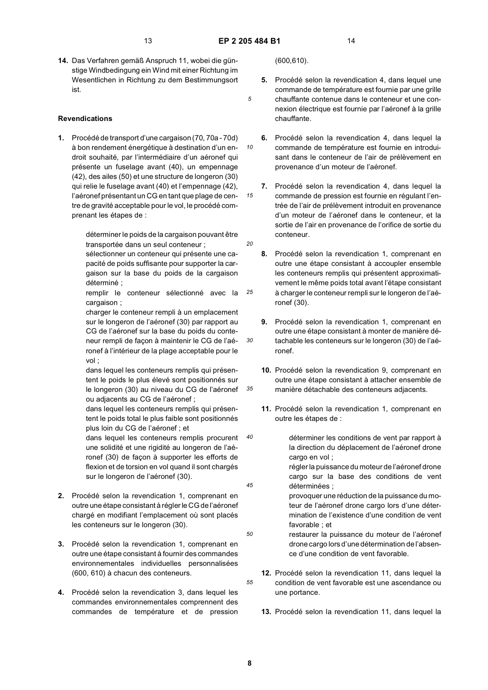*10*

*15*

*30*

*35*

*40*

*45*

*50*

*55*

**14.** Das Verfahren gemäß Anspruch 11, wobei die günstige Windbedingung ein Wind mit einer Richtung im Wesentlichen in Richtung zu dem Bestimmungsort ist.

#### **Revendications**

**1.** Procédé de transport d'une cargaison (70, 70a - 70d) à bon rendement énergétique à destination d'un endroit souhaité, par l'intermédiaire d'un aéronef qui présente un fuselage avant (40), un empennage (42), des ailes (50) et une structure de longeron (30) qui relie le fuselage avant (40) et l'empennage (42), l'aéronef présentant un CG en tant que plage de centre de gravité acceptable pour le vol, le procédé comprenant les étapes de :

> déterminer le poids de la cargaison pouvant être transportée dans un seul conteneur ;

> sélectionner un conteneur qui présente une capacité de poids suffisante pour supporter la cargaison sur la base du poids de la cargaison déterminé ;

*25* remplir le conteneur sélectionné avec la cargaison ;

charger le conteneur rempli à un emplacement sur le longeron de l'aéronef (30) par rapport au CG de l'aéronef sur la base du poids du conteneur rempli de façon à maintenir le CG de l'aéronef à l'intérieur de la plage acceptable pour le vol ;

dans lequel les conteneurs remplis qui présentent le poids le plus élevé sont positionnés sur le longeron (30) au niveau du CG de l'aéronef ou adjacents au CG de l'aéronef ;

dans lequel les conteneurs remplis qui présentent le poids total le plus faible sont positionnés plus loin du CG de l'aéronef ; et

dans lequel les conteneurs remplis procurent une solidité et une rigidité au longeron de l'aéronef (30) de façon à supporter les efforts de flexion et de torsion en vol quand il sont chargés sur le longeron de l'aéronef (30).

- **2.** Procédé selon la revendication 1, comprenant en outre une étape consistant à régler le CG de l'aéronef chargé en modifiant l'emplacement où sont placés les conteneurs sur le longeron (30).
- **3.** Procédé selon la revendication 1, comprenant en outre une étape consistant à fournir des commandes environnementales individuelles personnalisées (600, 610) à chacun des conteneurs.
- **4.** Procédé selon la revendication 3, dans lequel les commandes environnementales comprennent des commandes de température et de pression

(600,610).

- **5.** Procédé selon la revendication 4, dans lequel une commande de température est fournie par une grille chauffante contenue dans le conteneur et une connexion électrique est fournie par l'aéronef à la grille chauffante.
- **6.** Procédé selon la revendication 4, dans lequel la commande de température est fournie en introduisant dans le conteneur de l'air de prélèvement en provenance d'un moteur de l'aéronef.
- **7.** Procédé selon la revendication 4, dans lequel la commande de pression est fournie en régulant l'entrée de l'air de prélèvement introduit en provenance d'un moteur de l'aéronef dans le conteneur, et la sortie de l'air en provenance de l'orifice de sortie du conteneur.
- *20*
	- **8.** Procédé selon la revendication 1, comprenant en outre une étape consistant à accoupler ensemble les conteneurs remplis qui présentent approximativement le même poids total avant l'étape consistant à charger le conteneur rempli sur le longeron de l'aéronef (30).
	- **9.** Procédé selon la revendication 1, comprenant en outre une étape consistant à monter de manière détachable les conteneurs sur le longeron (30) de l'aéronef.
	- **10.** Procédé selon la revendication 9, comprenant en outre une étape consistant à attacher ensemble de manière détachable des conteneurs adjacents.
	- **11.** Procédé selon la revendication 1, comprenant en outre les étapes de :
		- déterminer les conditions de vent par rapport à la direction du déplacement de l'aéronef drone cargo en vol ; régler la puissance du moteur de l'aéronef drone cargo sur la base des conditions de vent déterminées ;

provoquer une réduction de la puissance du moteur de l'aéronef drone cargo lors d'une détermination de l'existence d'une condition de vent favorable ; et

- restaurer la puissance du moteur de l'aéronef drone cargo lors d'une détermination de l'absence d'une condition de vent favorable.
- **12.** Procédé selon la revendication 11, dans lequel la condition de vent favorable est une ascendance ou une portance.
	- **13.** Procédé selon la revendication 11, dans lequel la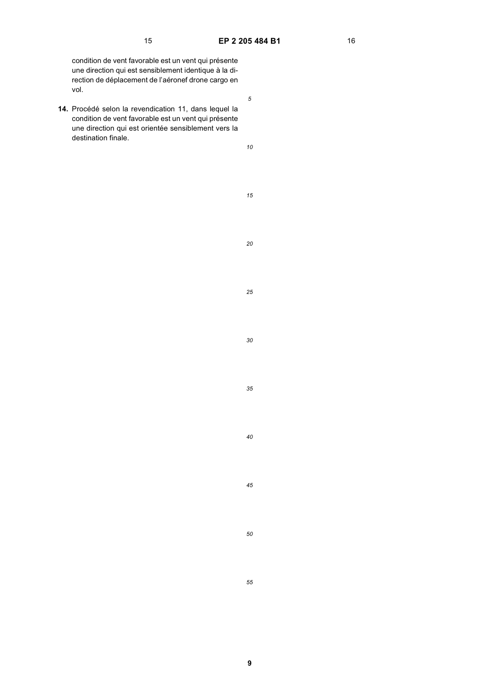condition de vent favorable est un vent qui présente une direction qui est sensiblement identique à la direction de déplacement de l'aéronef drone cargo en vol.

**14.** Procédé selon la revendication 11, dans lequel la condition de vent favorable est un vent qui présente une direction qui est orientée sensiblement vers la destination finale.

*10*

*15*

*20*

*25*

*30*

*35*

*40*

*45*

*50*

*55*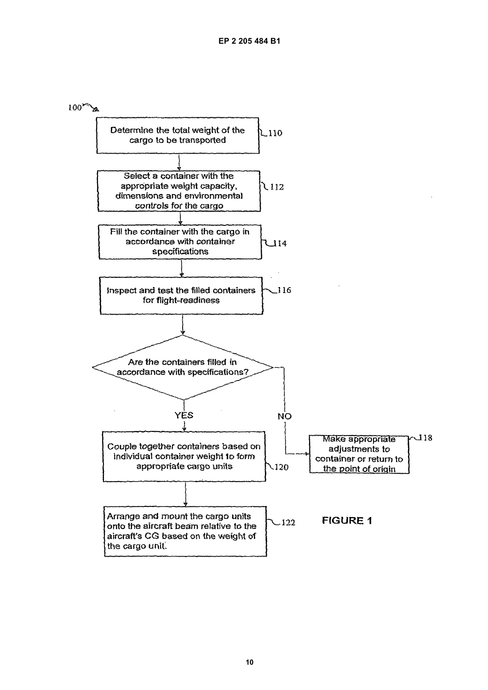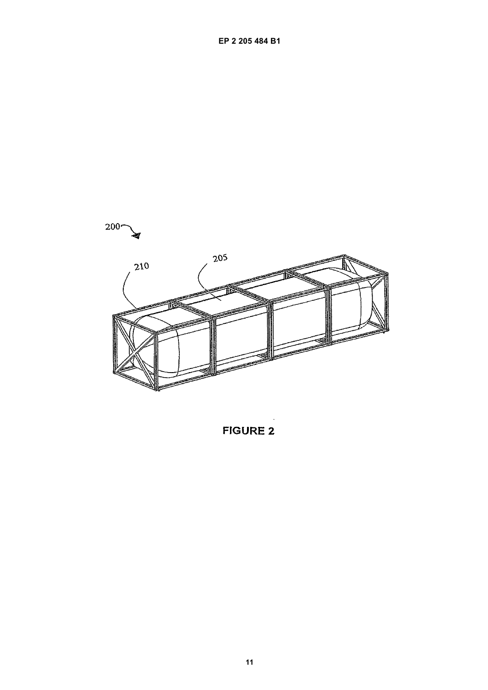

**FIGURE 2**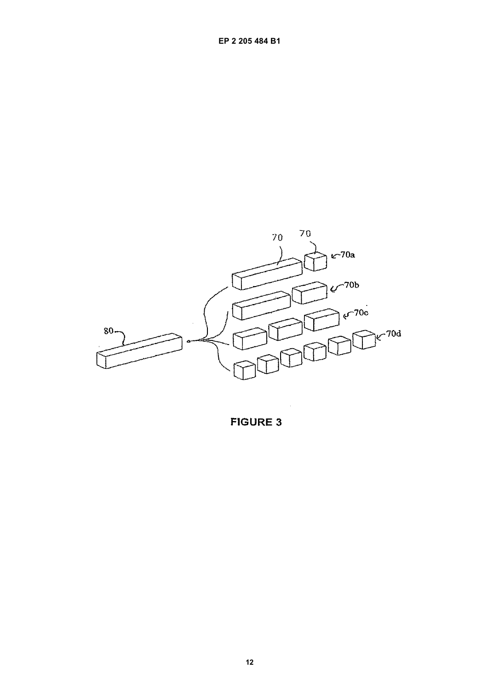

**FIGURE 3**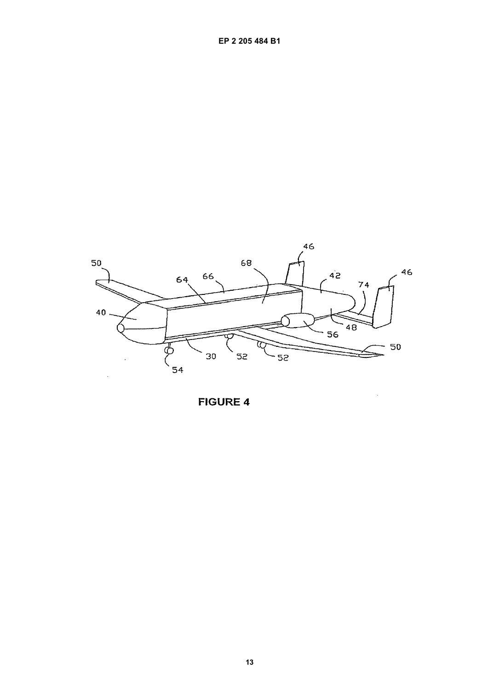

 $\overline{\phantom{a}}$ 

**FIGURE 4**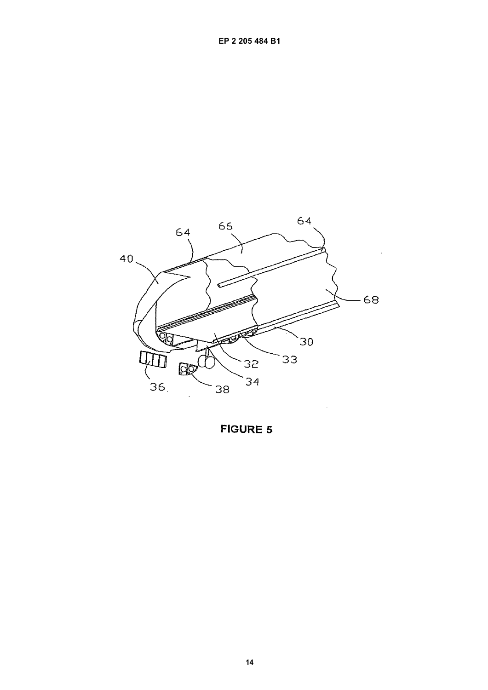

**FIGURE 5**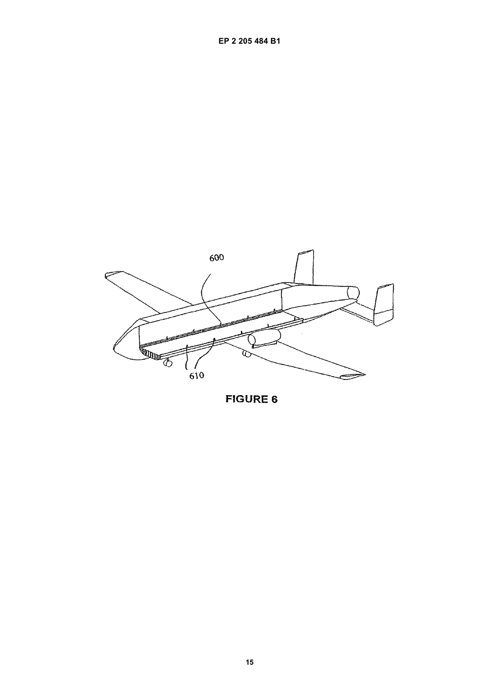

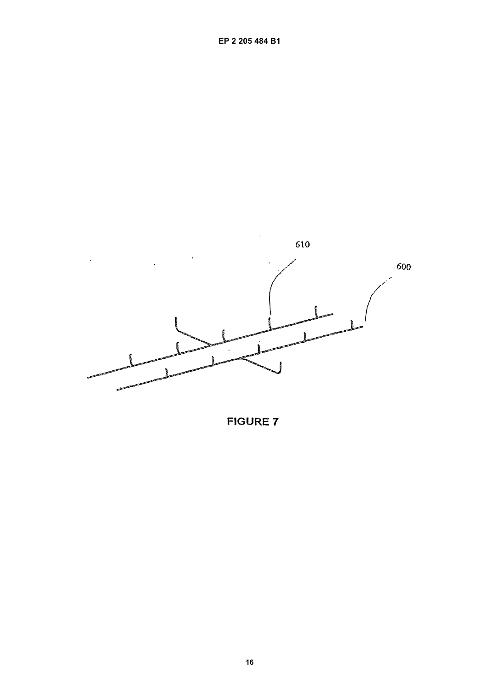

**FIGURE 7**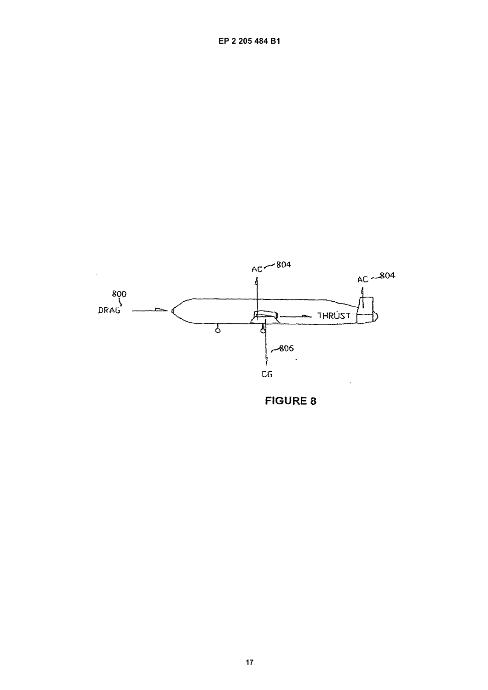

**FIGURE 8**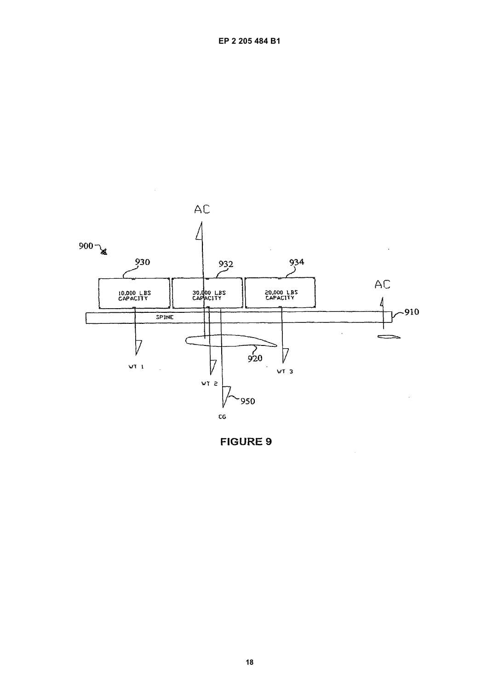

 $\bar{\beta}$